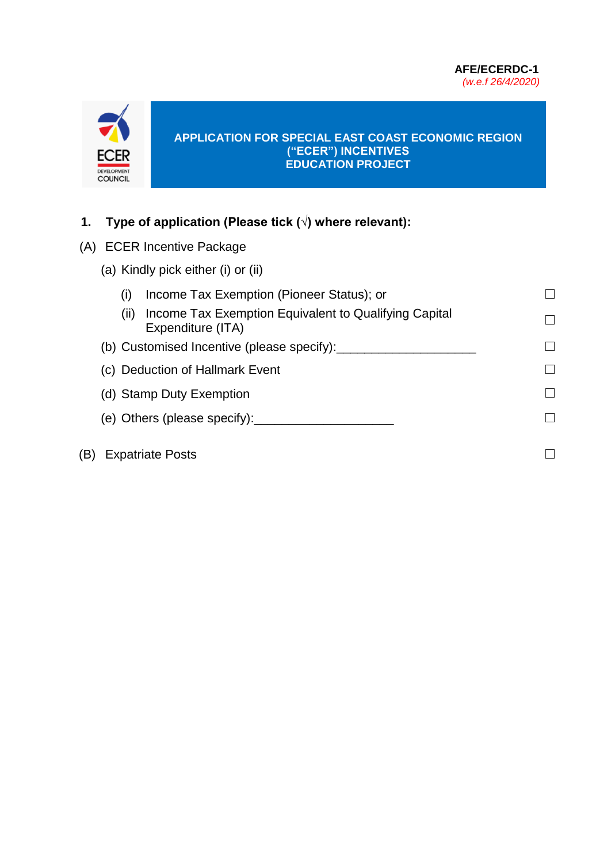

#### **APPLICATION FOR SPECIAL EAST COAST ECONOMIC REGION ("ECER") INCENTIVES EDUCATION PROJECT**

## **1. Type of application (Please tick (√) where relevant):**

- (A) ECER Incentive Package
	- (a) Kindly pick either (i) or (ii)
- (i) Income Tax Exemption (Pioneer Status); or  $□$ (ii) Income Tax Exemption Equivalent to Qualifying Capital Expenditure (ITA) ☐ (b) Customised Incentive (please specify): $\Box$ (c) Deduction of Hallmark Event **□** (d) Stamp Duty Exemption **□** (e) Others (please specify):  $\Box$  $(B)$  Expatriate Posts  $□$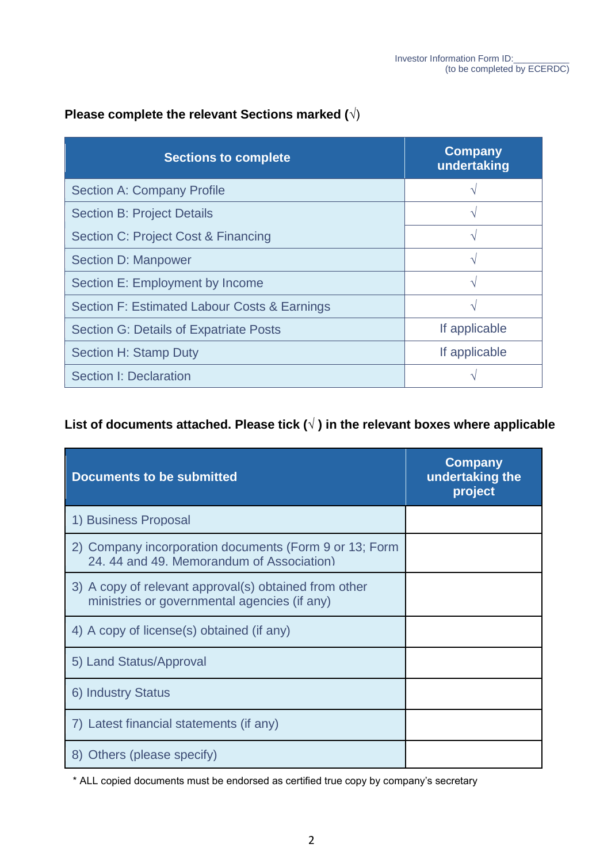### **Please complete the relevant Sections marked (**√)

| <b>Sections to complete</b>                   | <b>Company</b><br>undertaking |
|-----------------------------------------------|-------------------------------|
| Section A: Company Profile                    |                               |
| <b>Section B: Project Details</b>             |                               |
| Section C: Project Cost & Financing           |                               |
| Section D: Manpower                           |                               |
| Section E: Employment by Income               |                               |
| Section F: Estimated Labour Costs & Earnings  |                               |
| <b>Section G: Details of Expatriate Posts</b> | If applicable                 |
| <b>Section H: Stamp Duty</b>                  | If applicable                 |
| Section I: Declaration                        |                               |

### L **List of documents attached. Please tick (√ ) in the relevant boxes where applicable**

| <b>Documents to be submitted</b>                                                                      | <b>Company</b><br>undertaking the<br>project |
|-------------------------------------------------------------------------------------------------------|----------------------------------------------|
| 1) Business Proposal                                                                                  |                                              |
| 2) Company incorporation documents (Form 9 or 13; Form<br>24, 44 and 49. Memorandum of Association)   |                                              |
| 3) A copy of relevant approval(s) obtained from other<br>ministries or governmental agencies (if any) |                                              |
| 4) A copy of license(s) obtained (if any)                                                             |                                              |
| 5) Land Status/Approval                                                                               |                                              |
| 6) Industry Status                                                                                    |                                              |
| 7) Latest financial statements (if any)                                                               |                                              |
| 8) Others (please specify)                                                                            |                                              |

\* ALL copied documents must be endorsed as certified true copy by company's secretary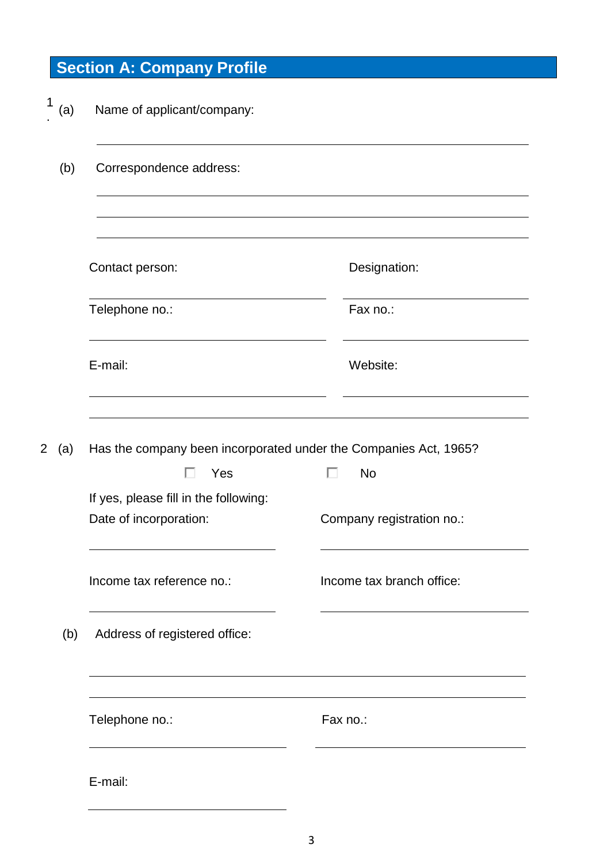# **Section A: Company Profile**

| 1<br>(a)              | Name of applicant/company:                                                   |                           |
|-----------------------|------------------------------------------------------------------------------|---------------------------|
| (b)                   | Correspondence address:                                                      |                           |
|                       | Contact person:                                                              | Designation:              |
|                       | Telephone no.:                                                               | Fax no.:                  |
|                       | E-mail:                                                                      | Website:                  |
| $\overline{2}$<br>(a) | Has the company been incorporated under the Companies Act, 1965?<br>Yes<br>п | п<br><b>No</b>            |
|                       | If yes, please fill in the following:<br>Date of incorporation:              | Company registration no.: |
|                       | Income tax reference no.:                                                    | Income tax branch office: |
| (b)                   | Address of registered office:                                                |                           |
|                       | Telephone no.:                                                               | Fax no.:                  |
|                       | E-mail:                                                                      |                           |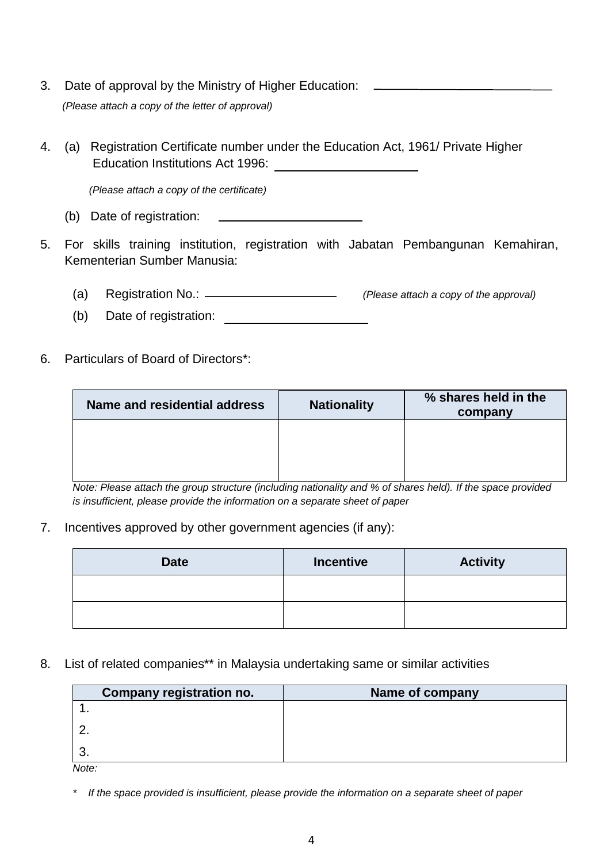- 3. Date of approval by the Ministry of Higher Education:  *(Please attach a copy of the letter of approval)*
- 4. (a) Registration Certificate number under the Education Act, 1961/ Private Higher Education Institutions Act 1996:

*(Please attach a copy of the certificate)*

- (b) Date of registration:
- 5. For skills training institution, registration with Jabatan Pembangunan Kemahiran, Kementerian Sumber Manusia:
	- (a) Registration No.: *(Please attach a copy of the approval)*
	- (b) Date of registration:
- 6. Particulars of Board of Directors\*:

| Name and residential address | <b>Nationality</b> | % shares held in the<br>company |
|------------------------------|--------------------|---------------------------------|
|                              |                    |                                 |
|                              |                    |                                 |

*Note: Please attach the group structure (including nationality and % of shares held). If the space provided is insufficient, please provide the information on a separate sheet of paper*

#### 7. Incentives approved by other government agencies (if any):

| <b>Date</b> | <b>Incentive</b> | <b>Activity</b> |
|-------------|------------------|-----------------|
|             |                  |                 |
|             |                  |                 |

#### 8. List of related companies\*\* in Malaysia undertaking same or similar activities

|          | Company registration no. | Name of company |
|----------|--------------------------|-----------------|
|          |                          |                 |
|          |                          |                 |
| $\cdots$ |                          |                 |

*Note:*

*\* If the space provided is insufficient, please provide the information on a separate sheet of paper*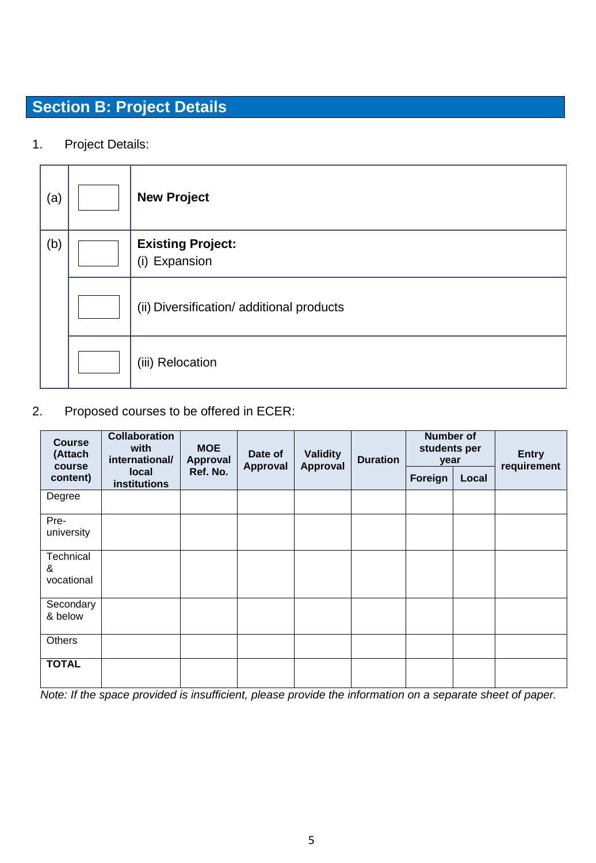# **Section B: Project Details**

1. Project Details:

| (a) | <b>New Project</b>                        |
|-----|-------------------------------------------|
| (b) | <b>Existing Project:</b><br>(i) Expansion |
|     | (ii) Diversification/ additional products |
|     | (iii) Relocation                          |

## 2. Proposed courses to be offered in ECER:

| <b>Course</b><br>(Attach<br>course | <b>Collaboration</b><br>with<br>international/ | <b>MOE</b><br>Approval | Date of<br>Approval | <b>Validity</b><br><b>Duration</b><br>Approval | <b>Number of</b><br>students per<br>year |       | <b>Entry</b><br>requirement |
|------------------------------------|------------------------------------------------|------------------------|---------------------|------------------------------------------------|------------------------------------------|-------|-----------------------------|
| content)                           | local<br><b>institutions</b>                   | Ref. No.               |                     |                                                | Foreign                                  | Local |                             |
| Degree                             |                                                |                        |                     |                                                |                                          |       |                             |
| Pre-<br>university                 |                                                |                        |                     |                                                |                                          |       |                             |
| Technical<br>&<br>vocational       |                                                |                        |                     |                                                |                                          |       |                             |
| Secondary<br>& below               |                                                |                        |                     |                                                |                                          |       |                             |
| <b>Others</b>                      |                                                |                        |                     |                                                |                                          |       |                             |
| <b>TOTAL</b>                       |                                                |                        |                     |                                                |                                          |       |                             |

*Note: If the space provided is insufficient, please provide the information on a separate sheet of paper.*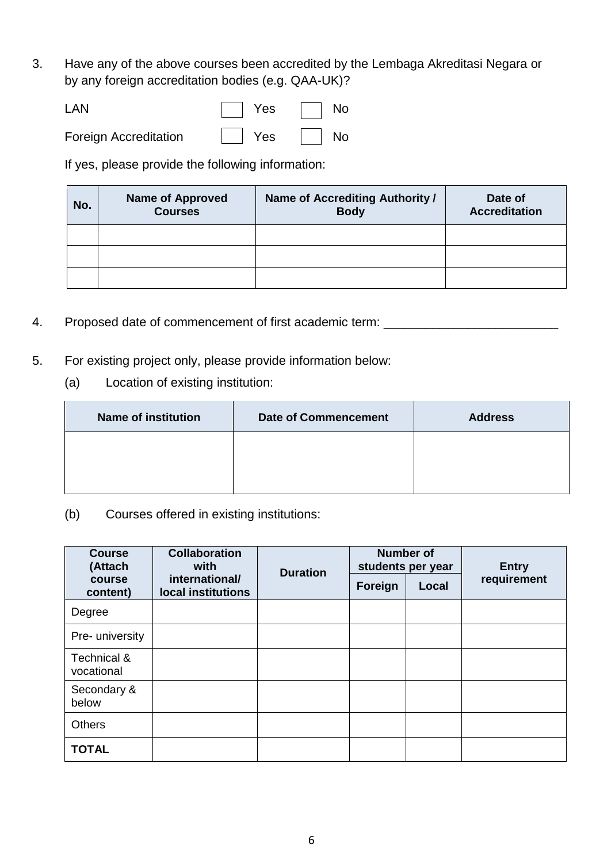3. Have any of the above courses been accredited by the Lembaga Akreditasi Negara or by any foreign accreditation bodies (e.g. QAA-UK)?

| LAN                   | $ $ Yes                | $\Box$ No |
|-----------------------|------------------------|-----------|
| Foreign Accreditation | $\vert$ Yes $\vert$ No |           |

If yes, please provide the following information:

| No. | <b>Name of Approved</b><br><b>Courses</b> | Name of Accrediting Authority /<br><b>Body</b> | Date of<br><b>Accreditation</b> |
|-----|-------------------------------------------|------------------------------------------------|---------------------------------|
|     |                                           |                                                |                                 |
|     |                                           |                                                |                                 |
|     |                                           |                                                |                                 |

- 4. Proposed date of commencement of first academic term: \_\_\_\_\_\_\_\_\_\_\_\_\_\_\_\_\_\_\_\_\_\_\_
- 5. For existing project only, please provide information below:
	- (a) Location of existing institution:

| <b>Name of institution</b> | <b>Date of Commencement</b> | <b>Address</b> |
|----------------------------|-----------------------------|----------------|
|                            |                             |                |
|                            |                             |                |

(b) Courses offered in existing institutions:

| <b>Course</b><br>(Attach  | <b>Collaboration</b><br>with         | <b>Number of</b><br>students per year<br><b>Duration</b> |         | <b>Entry</b> |             |
|---------------------------|--------------------------------------|----------------------------------------------------------|---------|--------------|-------------|
| course<br>content)        | international/<br>local institutions |                                                          | Foreign | Local        | requirement |
| Degree                    |                                      |                                                          |         |              |             |
| Pre- university           |                                      |                                                          |         |              |             |
| Technical &<br>vocational |                                      |                                                          |         |              |             |
| Secondary &<br>below      |                                      |                                                          |         |              |             |
| <b>Others</b>             |                                      |                                                          |         |              |             |
| <b>TOTAL</b>              |                                      |                                                          |         |              |             |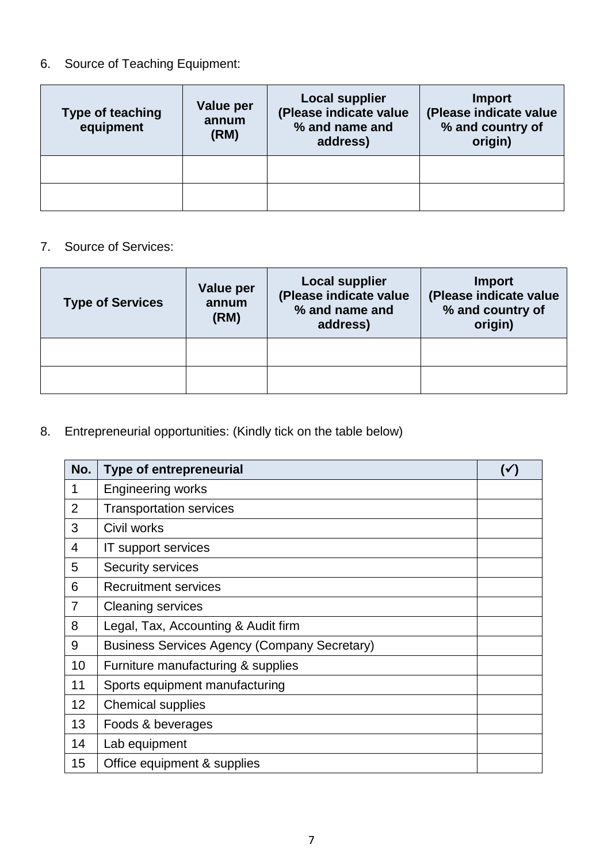## 6. Source of Teaching Equipment:

| <b>Type of teaching</b><br>equipment | Value per<br>annum<br>(RM) | <b>Local supplier</b><br>(Please indicate value<br>% and name and<br>address) | Import<br>(Please indicate value<br>% and country of<br>origin) |
|--------------------------------------|----------------------------|-------------------------------------------------------------------------------|-----------------------------------------------------------------|
|                                      |                            |                                                                               |                                                                 |
|                                      |                            |                                                                               |                                                                 |

### 7. Source of Services:

| <b>Type of Services</b> | <b>Value per</b><br>annum<br>(RM) | <b>Local supplier</b><br>(Please indicate value<br>% and name and<br>address) | <b>Import</b><br>(Please indicate value<br>% and country of<br>origin) |
|-------------------------|-----------------------------------|-------------------------------------------------------------------------------|------------------------------------------------------------------------|
|                         |                                   |                                                                               |                                                                        |
|                         |                                   |                                                                               |                                                                        |

# 8. Entrepreneurial opportunities: (Kindly tick on the table below)

| No.            | <b>Type of entrepreneurial</b>                      | (✔ |
|----------------|-----------------------------------------------------|----|
| 1              | <b>Engineering works</b>                            |    |
| 2              | <b>Transportation services</b>                      |    |
| 3              | Civil works                                         |    |
| 4              | IT support services                                 |    |
| 5              | Security services                                   |    |
| 6              | Recruitment services                                |    |
| $\overline{7}$ | <b>Cleaning services</b>                            |    |
| 8              | Legal, Tax, Accounting & Audit firm                 |    |
| 9              | <b>Business Services Agency (Company Secretary)</b> |    |
| 10             | Furniture manufacturing & supplies                  |    |
| 11             | Sports equipment manufacturing                      |    |
| 12             | <b>Chemical supplies</b>                            |    |
| 13             | Foods & beverages                                   |    |
| 14             | Lab equipment                                       |    |
| 15             | Office equipment & supplies                         |    |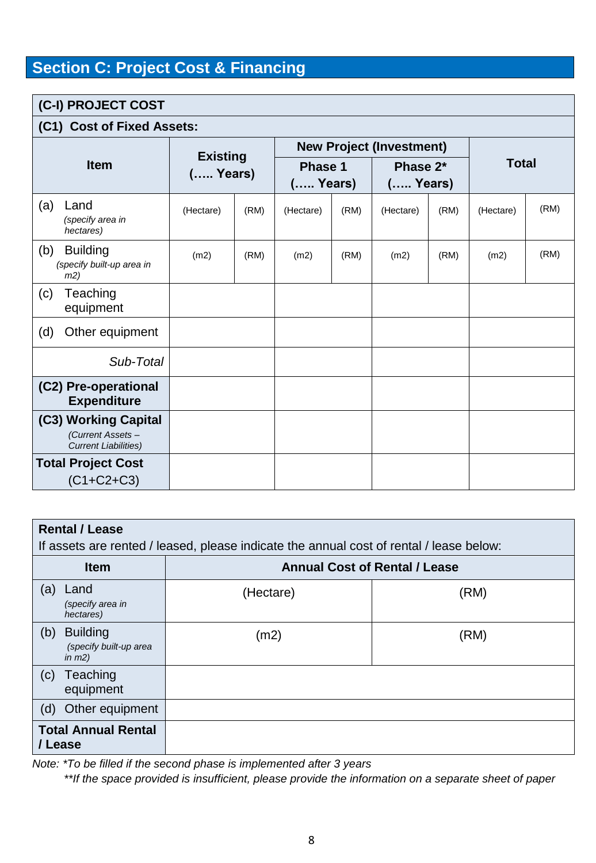# **Section C: Project Cost & Financing**

## **(C-I) PROJECT COST (C1) Cost of Fixed Assets:**

| (C1) COSt OT FIXEd ASSEtS: |                                                                          |                               |      |                       |      |                                 |      |              |      |
|----------------------------|--------------------------------------------------------------------------|-------------------------------|------|-----------------------|------|---------------------------------|------|--------------|------|
|                            |                                                                          |                               |      |                       |      | <b>New Project (Investment)</b> |      |              |      |
|                            | <b>Item</b>                                                              | <b>Existing</b><br>$($ Years) |      | Phase 1<br>$($ Years) |      | Phase 2*<br>( Years)            |      | <b>Total</b> |      |
| (a)                        | Land<br>(specify area in<br>hectares)                                    | (Hectare)                     | (RM) | (Hectare)             | (RM) | (Hectare)                       | (RM) | (Hectare)    | (RM) |
| (b)                        | <b>Building</b><br>(specify built-up area in<br>m2)                      | (m2)                          | (RM) | (m2)                  | (RM) | (m2)                            | (RM) | (m2)         | (RM) |
| (c)                        | Teaching<br>equipment                                                    |                               |      |                       |      |                                 |      |              |      |
| (d)                        | Other equipment                                                          |                               |      |                       |      |                                 |      |              |      |
|                            | Sub-Total                                                                |                               |      |                       |      |                                 |      |              |      |
|                            | (C2) Pre-operational<br><b>Expenditure</b>                               |                               |      |                       |      |                                 |      |              |      |
|                            | (C3) Working Capital<br>(Current Assets -<br><b>Current Liabilities)</b> |                               |      |                       |      |                                 |      |              |      |
|                            | <b>Total Project Cost</b><br>$(C1 + C2 + C3)$                            |                               |      |                       |      |                                 |      |              |      |

| <b>Rental / Lease</b><br>If assets are rented / leased, please indicate the annual cost of rental / lease below: |                                      |      |  |  |  |  |  |  |  |
|------------------------------------------------------------------------------------------------------------------|--------------------------------------|------|--|--|--|--|--|--|--|
| <b>Item</b>                                                                                                      | <b>Annual Cost of Rental / Lease</b> |      |  |  |  |  |  |  |  |
| (a)<br>Land<br>(specify area in<br>hectares)                                                                     | (Hectare)                            | (RM) |  |  |  |  |  |  |  |
| (b)<br><b>Building</b><br>(specify built-up area<br>in $m2)$                                                     | (m2)                                 | (RM) |  |  |  |  |  |  |  |
| (c)<br>Teaching<br>equipment                                                                                     |                                      |      |  |  |  |  |  |  |  |
| Other equipment<br>(d)                                                                                           |                                      |      |  |  |  |  |  |  |  |
| <b>Total Annual Rental</b><br>/ Lease                                                                            |                                      |      |  |  |  |  |  |  |  |

*Note: \*To be filled if the second phase is implemented after 3 years*

 *\*\*If the space provided is insufficient, please provide the information on a separate sheet of paper*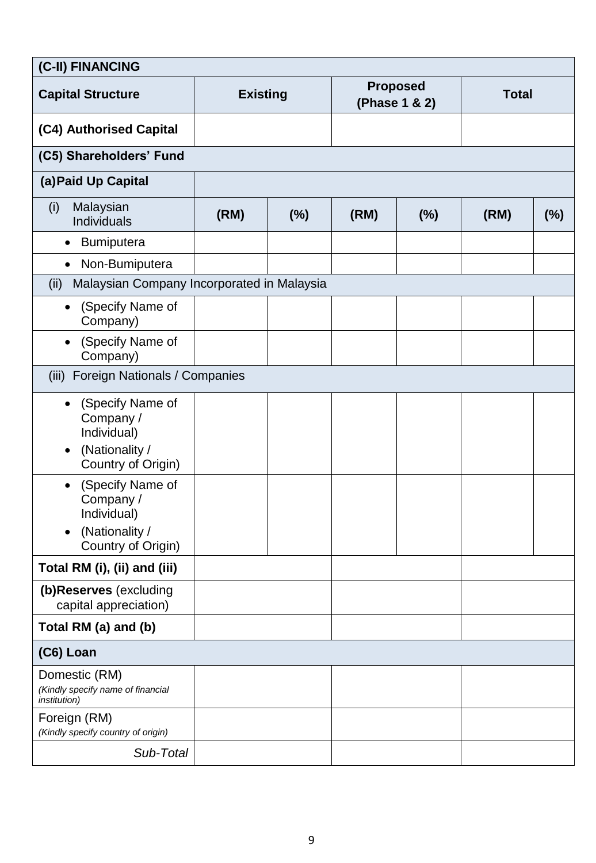| (C-II) FINANCING                                                                                  |                 |     |      |                                  |              |     |
|---------------------------------------------------------------------------------------------------|-----------------|-----|------|----------------------------------|--------------|-----|
| <b>Capital Structure</b>                                                                          | <b>Existing</b> |     |      | <b>Proposed</b><br>(Phase 1 & 2) | <b>Total</b> |     |
| (C4) Authorised Capital                                                                           |                 |     |      |                                  |              |     |
| (C5) Shareholders' Fund                                                                           |                 |     |      |                                  |              |     |
| (a) Paid Up Capital                                                                               |                 |     |      |                                  |              |     |
| Malaysian<br>(i)<br>Individuals                                                                   | (RM)            | (%) | (RM) | (%)                              | (RM)         | (%) |
| <b>Bumiputera</b><br>$\bullet$                                                                    |                 |     |      |                                  |              |     |
| Non-Bumiputera<br>$\bullet$                                                                       |                 |     |      |                                  |              |     |
| Malaysian Company Incorporated in Malaysia<br>(ii)                                                |                 |     |      |                                  |              |     |
| (Specify Name of<br>$\bullet$<br>Company)                                                         |                 |     |      |                                  |              |     |
| (Specify Name of<br>$\bullet$<br>Company)                                                         |                 |     |      |                                  |              |     |
| (iii) Foreign Nationals / Companies                                                               |                 |     |      |                                  |              |     |
| (Specify Name of<br>Company /<br>Individual)<br>(Nationality /<br>Country of Origin)              |                 |     |      |                                  |              |     |
| (Specify Name of<br>$\bullet$<br>Company /<br>Individual)<br>(Nationality /<br>Country of Origin) |                 |     |      |                                  |              |     |
| Total RM (i), (ii) and (iii)                                                                      |                 |     |      |                                  |              |     |
| (b)Reserves (excluding<br>capital appreciation)                                                   |                 |     |      |                                  |              |     |
| Total RM (a) and (b)                                                                              |                 |     |      |                                  |              |     |
| (C6) Loan                                                                                         |                 |     |      |                                  |              |     |
| Domestic (RM)<br>(Kindly specify name of financial<br><i>institution</i> )                        |                 |     |      |                                  |              |     |
| Foreign (RM)<br>(Kindly specify country of origin)                                                |                 |     |      |                                  |              |     |
| Sub-Total                                                                                         |                 |     |      |                                  |              |     |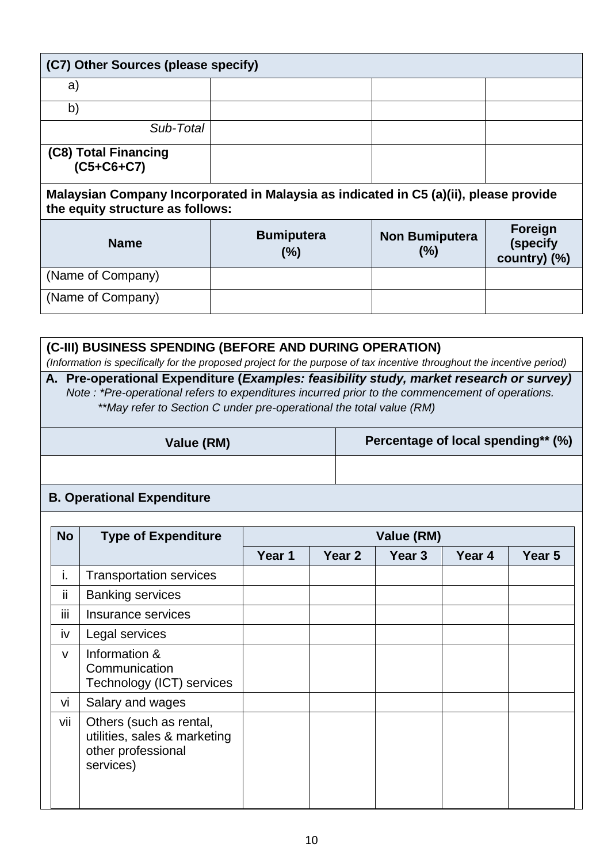| (C7) Other Sources (please specify)                                                                                       |                             |                              |                                     |  |  |  |  |  |  |
|---------------------------------------------------------------------------------------------------------------------------|-----------------------------|------------------------------|-------------------------------------|--|--|--|--|--|--|
| a)                                                                                                                        |                             |                              |                                     |  |  |  |  |  |  |
| b)                                                                                                                        |                             |                              |                                     |  |  |  |  |  |  |
| Sub-Total                                                                                                                 |                             |                              |                                     |  |  |  |  |  |  |
| (C8) Total Financing<br>$(C5+C6+C7)$                                                                                      |                             |                              |                                     |  |  |  |  |  |  |
| Malaysian Company Incorporated in Malaysia as indicated in C5 (a)(ii), please provide<br>the equity structure as follows: |                             |                              |                                     |  |  |  |  |  |  |
| <b>Name</b>                                                                                                               | <b>Bumiputera</b><br>$(\%)$ | <b>Non Bumiputera</b><br>(%) | Foreign<br>(specify<br>country) (%) |  |  |  |  |  |  |
| (Name of Company)                                                                                                         |                             |                              |                                     |  |  |  |  |  |  |

| (C-III) BUSINESS SPENDING (BEFORE AND DURING OPERATION)<br>(Information is specifically for the proposed project for the purpose of tax incentive throughout the incentive period)                                                                                |                                    |  |  |  |  |  |
|-------------------------------------------------------------------------------------------------------------------------------------------------------------------------------------------------------------------------------------------------------------------|------------------------------------|--|--|--|--|--|
| A. Pre-operational Expenditure (Examples: feasibility study, market research or survey)<br>Note: *Pre-operational refers to expenditures incurred prior to the commencement of operations.<br>**May refer to Section C under pre-operational the total value (RM) |                                    |  |  |  |  |  |
| Value (RM)                                                                                                                                                                                                                                                        | Percentage of local spending** (%) |  |  |  |  |  |
|                                                                                                                                                                                                                                                                   |                                    |  |  |  |  |  |
|                                                                                                                                                                                                                                                                   |                                    |  |  |  |  |  |

#### **B. Operational Expenditure**

(Name of Company)

| <b>No</b>     | <b>Type of Expenditure</b>                                                                 | Value (RM) |        |                   |        |        |  |  |
|---------------|--------------------------------------------------------------------------------------------|------------|--------|-------------------|--------|--------|--|--|
|               |                                                                                            | Year 1     | Year 2 | Year <sub>3</sub> | Year 4 | Year 5 |  |  |
| i.            | <b>Transportation services</b>                                                             |            |        |                   |        |        |  |  |
| ii.           | <b>Banking services</b>                                                                    |            |        |                   |        |        |  |  |
| $\cdots$<br>Ш | Insurance services                                                                         |            |        |                   |        |        |  |  |
| iv            | Legal services                                                                             |            |        |                   |        |        |  |  |
| $\vee$        | Information &<br>Communication<br>Technology (ICT) services                                |            |        |                   |        |        |  |  |
| vi            | Salary and wages                                                                           |            |        |                   |        |        |  |  |
| vii           | Others (such as rental,<br>utilities, sales & marketing<br>other professional<br>services) |            |        |                   |        |        |  |  |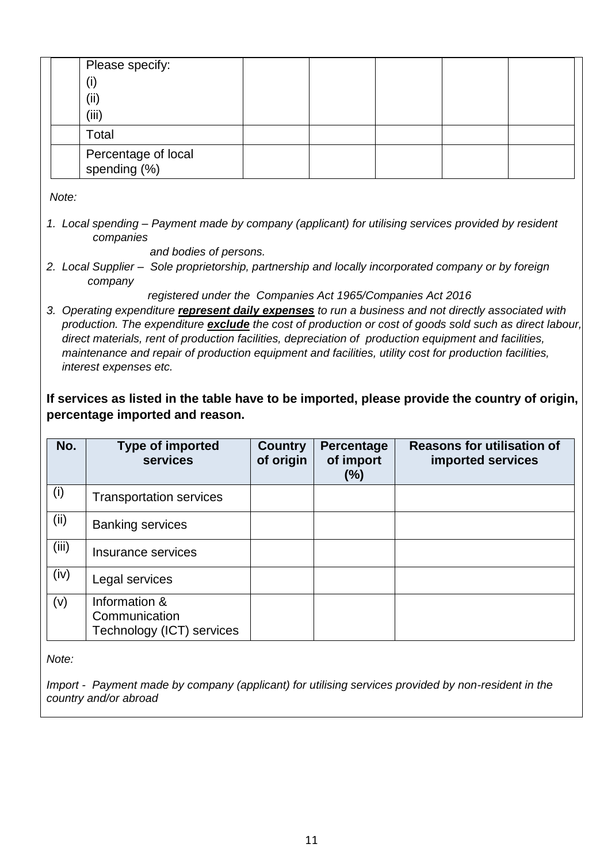| Please specify:                     |  |  |  |
|-------------------------------------|--|--|--|
| (i)                                 |  |  |  |
| (i)                                 |  |  |  |
| (iii)                               |  |  |  |
| Total                               |  |  |  |
| Percentage of local<br>spending (%) |  |  |  |

*Note:*

1. Local spending – Payment made by company (applicant) for utilising services provided by resident *companies*

 *and bodies of persons.*

*2. Local Supplier – Sole proprietorship, partnership and locally incorporated company or by foreign company* 

 *registered under the Companies Act 1965/Companies Act 2016* 

*3. Operating expenditure represent daily expenses to run a business and not directly associated with production. The expenditure exclude the cost of production or cost of goods sold such as direct labour, direct materials, rent of production facilities, depreciation of production equipment and facilities, maintenance and repair of production equipment and facilities, utility cost for production facilities, interest expenses etc.*

**If services as listed in the table have to be imported, please provide the country of origin, percentage imported and reason.**

| No.   | <b>Type of imported</b><br><b>services</b>                  | <b>Country</b><br>of origin | Percentage<br>of import<br>(%) | <b>Reasons for utilisation of</b><br>imported services |
|-------|-------------------------------------------------------------|-----------------------------|--------------------------------|--------------------------------------------------------|
| (i)   | <b>Transportation services</b>                              |                             |                                |                                                        |
| (ii)  | <b>Banking services</b>                                     |                             |                                |                                                        |
| (iii) | Insurance services                                          |                             |                                |                                                        |
| (iv)  | Legal services                                              |                             |                                |                                                        |
| (v)   | Information &<br>Communication<br>Technology (ICT) services |                             |                                |                                                        |

*Note:*

*Import - Payment made by company (applicant) for utilising services provided by non-resident in the country and/or abroad*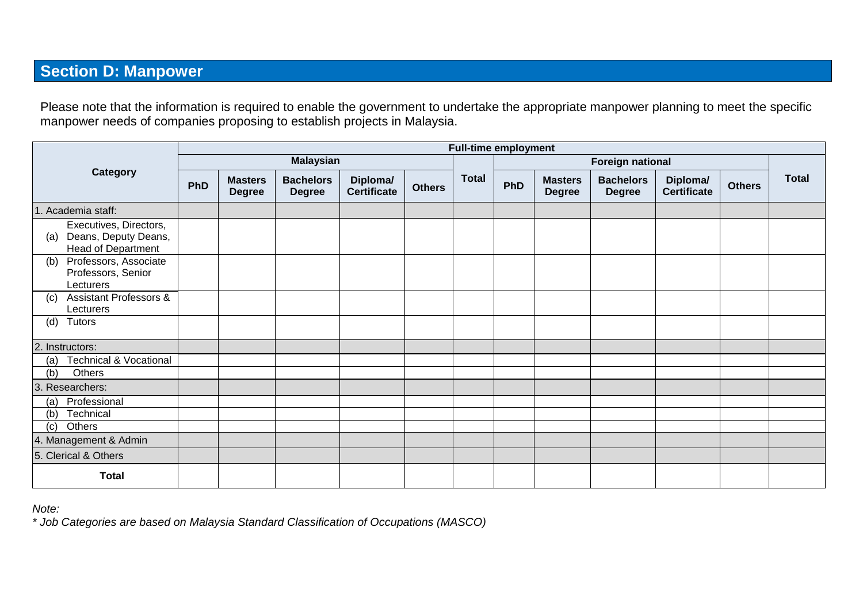# **Section D: Manpower**

Please note that the information is required to enable the government to undertake the appropriate manpower planning to meet the specific manpower needs of companies proposing to establish projects in Malaysia.

|                                                                             |                  |                                 |                                   |                                |               |                         | <b>Full-time employment</b> |                                 |                                   |                                |               |              |
|-----------------------------------------------------------------------------|------------------|---------------------------------|-----------------------------------|--------------------------------|---------------|-------------------------|-----------------------------|---------------------------------|-----------------------------------|--------------------------------|---------------|--------------|
|                                                                             | <b>Malaysian</b> |                                 |                                   |                                |               | <b>Foreign national</b> |                             |                                 |                                   |                                |               |              |
| Category                                                                    | <b>PhD</b>       | <b>Masters</b><br><b>Degree</b> | <b>Bachelors</b><br><b>Degree</b> | Diploma/<br><b>Certificate</b> | <b>Others</b> | <b>Total</b>            | <b>PhD</b>                  | <b>Masters</b><br><b>Degree</b> | <b>Bachelors</b><br><b>Degree</b> | Diploma/<br><b>Certificate</b> | <b>Others</b> | <b>Total</b> |
| 1. Academia staff:                                                          |                  |                                 |                                   |                                |               |                         |                             |                                 |                                   |                                |               |              |
| Executives, Directors,<br>Deans, Deputy Deans,<br>(a)<br>Head of Department |                  |                                 |                                   |                                |               |                         |                             |                                 |                                   |                                |               |              |
| Professors, Associate<br>(b)<br>Professors, Senior<br>Lecturers             |                  |                                 |                                   |                                |               |                         |                             |                                 |                                   |                                |               |              |
| <b>Assistant Professors &amp;</b><br>(c)<br>Lecturers                       |                  |                                 |                                   |                                |               |                         |                             |                                 |                                   |                                |               |              |
| Tutors<br>(d)                                                               |                  |                                 |                                   |                                |               |                         |                             |                                 |                                   |                                |               |              |
| 2. Instructors:                                                             |                  |                                 |                                   |                                |               |                         |                             |                                 |                                   |                                |               |              |
| Technical & Vocational<br>(a)                                               |                  |                                 |                                   |                                |               |                         |                             |                                 |                                   |                                |               |              |
| Others<br>(b)                                                               |                  |                                 |                                   |                                |               |                         |                             |                                 |                                   |                                |               |              |
| 3. Researchers:                                                             |                  |                                 |                                   |                                |               |                         |                             |                                 |                                   |                                |               |              |
| Professional<br>(a)                                                         |                  |                                 |                                   |                                |               |                         |                             |                                 |                                   |                                |               |              |
| Technical<br>(b)                                                            |                  |                                 |                                   |                                |               |                         |                             |                                 |                                   |                                |               |              |
| Others<br>(c)                                                               |                  |                                 |                                   |                                |               |                         |                             |                                 |                                   |                                |               |              |
| 4. Management & Admin                                                       |                  |                                 |                                   |                                |               |                         |                             |                                 |                                   |                                |               |              |
| 5. Clerical & Others                                                        |                  |                                 |                                   |                                |               |                         |                             |                                 |                                   |                                |               |              |
| <b>Total</b>                                                                |                  |                                 |                                   |                                |               |                         |                             |                                 |                                   |                                |               |              |

*Note:* 

*\* Job Categories are based on Malaysia Standard Classification of Occupations (MASCO)*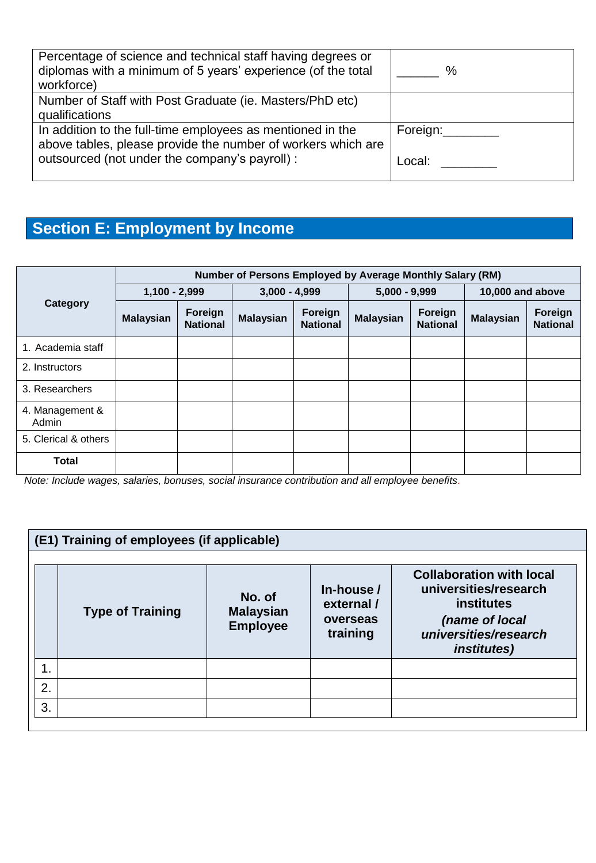| Percentage of science and technical staff having degrees or<br>diplomas with a minimum of 5 years' experience (of the total<br>workforce) | $\%$     |
|-------------------------------------------------------------------------------------------------------------------------------------------|----------|
| Number of Staff with Post Graduate (ie. Masters/PhD etc)<br>qualifications                                                                |          |
| In addition to the full-time employees as mentioned in the<br>above tables, please provide the number of workers which are                | Foreign: |
| outsourced (not under the company's payroll) :                                                                                            | ∟ocal:   |

# **Section E: Employment by Income**

|                          | Number of Persons Employed by Average Monthly Salary (RM) |                            |                  |                            |                  |                            |                  |                            |
|--------------------------|-----------------------------------------------------------|----------------------------|------------------|----------------------------|------------------|----------------------------|------------------|----------------------------|
|                          | $1,100 - 2,999$                                           |                            | $3,000 - 4,999$  |                            | $5,000 - 9,999$  |                            | 10,000 and above |                            |
| Category                 | <b>Malaysian</b>                                          | Foreign<br><b>National</b> | <b>Malaysian</b> | Foreign<br><b>National</b> | <b>Malaysian</b> | Foreign<br><b>National</b> | <b>Malaysian</b> | Foreign<br><b>National</b> |
| 1. Academia staff        |                                                           |                            |                  |                            |                  |                            |                  |                            |
| 2. Instructors           |                                                           |                            |                  |                            |                  |                            |                  |                            |
| 3. Researchers           |                                                           |                            |                  |                            |                  |                            |                  |                            |
| 4. Management &<br>Admin |                                                           |                            |                  |                            |                  |                            |                  |                            |
| 5. Clerical & others     |                                                           |                            |                  |                            |                  |                            |                  |                            |
| <b>Total</b>             |                                                           |                            |                  |                            |                  |                            |                  |                            |

*Note: Include wages, salaries, bonuses, social insurance contribution and all employee benefits.*

#### **(E1) Training of employees (if applicable) Type of Training No. of Malaysian Employee In-house / external / overseas training Collaboration with local universities/research institutes** *(name of local universities/research institutes)* 1. 2. 3.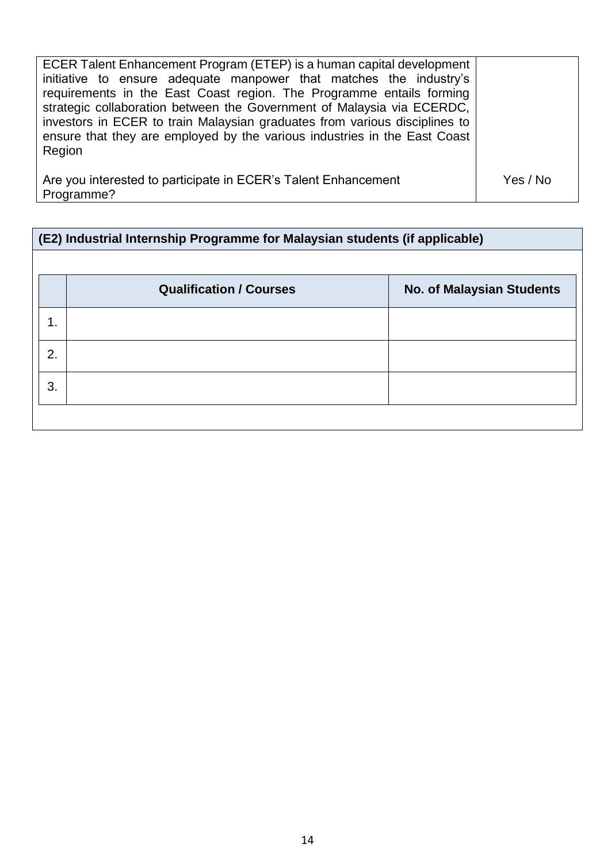| ECER Talent Enhancement Program (ETEP) is a human capital development<br>initiative to ensure adequate manpower that matches the industry's<br>requirements in the East Coast region. The Programme entails forming<br>strategic collaboration between the Government of Malaysia via ECERDC,<br>investors in ECER to train Malaysian graduates from various disciplines to<br>ensure that they are employed by the various industries in the East Coast<br>Region |          |
|--------------------------------------------------------------------------------------------------------------------------------------------------------------------------------------------------------------------------------------------------------------------------------------------------------------------------------------------------------------------------------------------------------------------------------------------------------------------|----------|
| Are you interested to participate in ECER's Talent Enhancement<br>Programme?                                                                                                                                                                                                                                                                                                                                                                                       | Yes / No |

| (E2) Industrial Internship Programme for Malaysian students (if applicable) |                                |                                  |  |  |  |  |
|-----------------------------------------------------------------------------|--------------------------------|----------------------------------|--|--|--|--|
|                                                                             |                                |                                  |  |  |  |  |
|                                                                             | <b>Qualification / Courses</b> | <b>No. of Malaysian Students</b> |  |  |  |  |
| 1.                                                                          |                                |                                  |  |  |  |  |
| 2.                                                                          |                                |                                  |  |  |  |  |
| 3.                                                                          |                                |                                  |  |  |  |  |
|                                                                             |                                |                                  |  |  |  |  |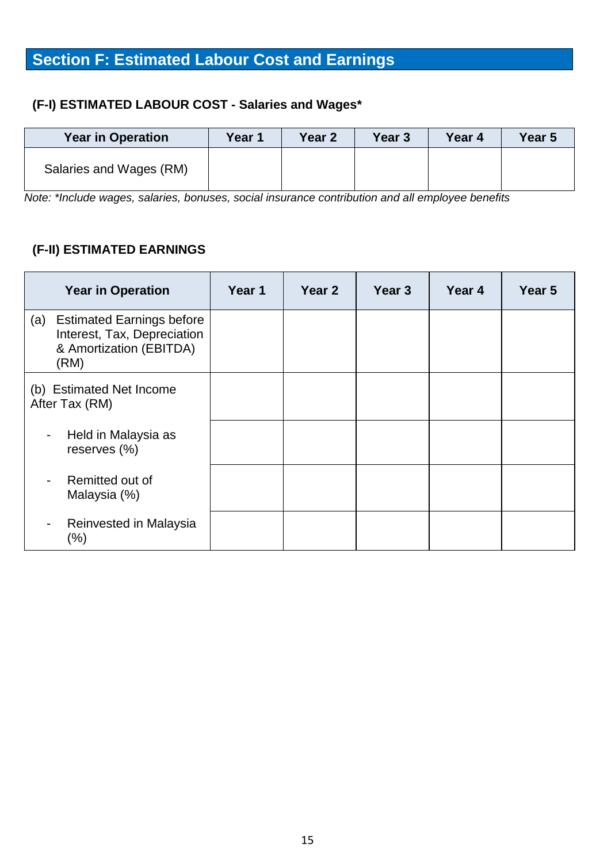# **Section F: Estimated Labour Cost and Earnings**

# **(F-I) ESTIMATED LABOUR COST - Salaries and Wages\***

| <b>Year in Operation</b> | Year 1 | Year 2 | Year 3 | Year 4 | Year 5 |
|--------------------------|--------|--------|--------|--------|--------|
| Salaries and Wages (RM)  |        |        |        |        |        |

*Note: \*Include wages, salaries, bonuses, social insurance contribution and all employee benefits*

### **(F-II) ESTIMATED EARNINGS**

| <b>Year in Operation</b>                                                                                  | Year 1 | Year <sub>2</sub> | Year <sub>3</sub> | Year 4 | Year 5 |
|-----------------------------------------------------------------------------------------------------------|--------|-------------------|-------------------|--------|--------|
| <b>Estimated Earnings before</b><br>(a)<br>Interest, Tax, Depreciation<br>& Amortization (EBITDA)<br>(RM) |        |                   |                   |        |        |
| (b) Estimated Net Income<br>After Tax (RM)                                                                |        |                   |                   |        |        |
| Held in Malaysia as<br>$\overline{\phantom{a}}$<br>reserves (%)                                           |        |                   |                   |        |        |
| Remitted out of<br>Malaysia (%)                                                                           |        |                   |                   |        |        |
| Reinvested in Malaysia<br>$\overline{\phantom{a}}$<br>$(\% )$                                             |        |                   |                   |        |        |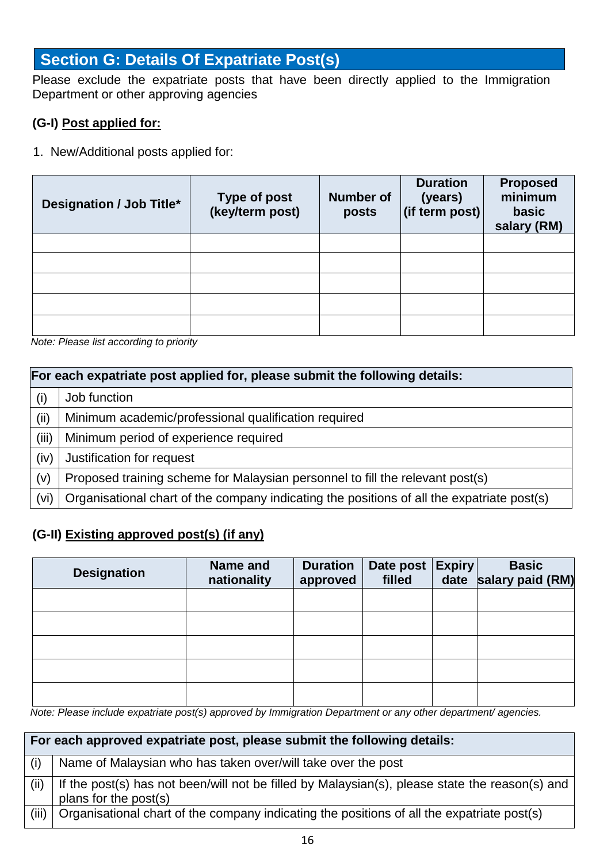## **Section G: Details Of Expatriate Post(s)**

Please exclude the expatriate posts that have been directly applied to the Immigration Department or other approving agencies

### **(G-I) Post applied for:**

1. New/Additional posts applied for:

| Designation / Job Title* | <b>Type of post</b><br>(key/term post) | <b>Number of</b><br>posts | <b>Duration</b><br>(years)<br>$\left \left(\text{if term post}\right)\right $ | <b>Proposed</b><br>minimum<br>basic<br>salary (RM) |
|--------------------------|----------------------------------------|---------------------------|-------------------------------------------------------------------------------|----------------------------------------------------|
|                          |                                        |                           |                                                                               |                                                    |
|                          |                                        |                           |                                                                               |                                                    |
|                          |                                        |                           |                                                                               |                                                    |
|                          |                                        |                           |                                                                               |                                                    |
|                          |                                        |                           |                                                                               |                                                    |

*Note: Please list according to priority*

|       | For each expatriate post applied for, please submit the following details:                 |  |  |  |  |  |
|-------|--------------------------------------------------------------------------------------------|--|--|--|--|--|
| (i)   | Job function                                                                               |  |  |  |  |  |
| (ii)  | Minimum academic/professional qualification required                                       |  |  |  |  |  |
| (iii) | Minimum period of experience required                                                      |  |  |  |  |  |
| (iv)  | Justification for request                                                                  |  |  |  |  |  |
| (v)   | Proposed training scheme for Malaysian personnel to fill the relevant post(s)              |  |  |  |  |  |
| (vi)  | Organisational chart of the company indicating the positions of all the expatriate post(s) |  |  |  |  |  |

## **(G-II) Existing approved post(s) (if any)**

| <b>Designation</b> | Name and<br>nationality | <b>Duration</b><br>approved | Date post   Expiry  <br>filled | <b>Basic</b><br>date salary paid (RM) |
|--------------------|-------------------------|-----------------------------|--------------------------------|---------------------------------------|
|                    |                         |                             |                                |                                       |
|                    |                         |                             |                                |                                       |
|                    |                         |                             |                                |                                       |
|                    |                         |                             |                                |                                       |
|                    |                         |                             |                                |                                       |

 *Note: Please include expatriate post(s) approved by Immigration Department or any other department/ agencies.*

|       | For each approved expatriate post, please submit the following details:                                                 |  |  |  |  |  |  |
|-------|-------------------------------------------------------------------------------------------------------------------------|--|--|--|--|--|--|
| (i)   | Name of Malaysian who has taken over/will take over the post                                                            |  |  |  |  |  |  |
| (ii)  | If the post(s) has not been/will not be filled by Malaysian(s), please state the reason(s) and<br>plans for the post(s) |  |  |  |  |  |  |
| (iii) | Organisational chart of the company indicating the positions of all the expatriate post(s)                              |  |  |  |  |  |  |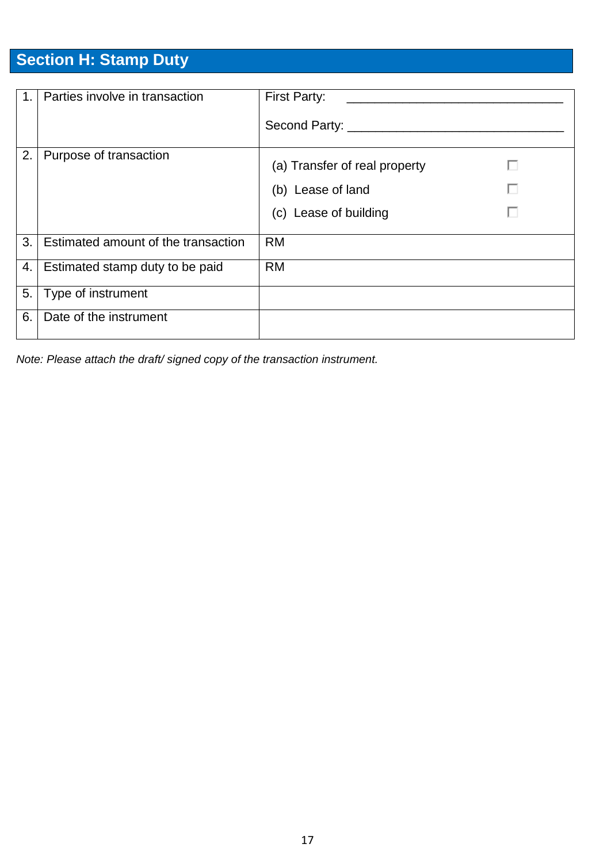# **Section H: Stamp Duty**

| $\overline{1}$ . | Parties involve in transaction      | First Party:                  |
|------------------|-------------------------------------|-------------------------------|
|                  |                                     | Second Party: _______         |
| 2.               | Purpose of transaction              | (a) Transfer of real property |
|                  |                                     | г<br>(b) Lease of land        |
|                  |                                     | (c) Lease of building         |
| 3.1              | Estimated amount of the transaction | <b>RM</b>                     |
| 4.1              | Estimated stamp duty to be paid     | <b>RM</b>                     |
| 5.               | Type of instrument                  |                               |
| 6.               | Date of the instrument              |                               |

*Note: Please attach the draft/ signed copy of the transaction instrument.*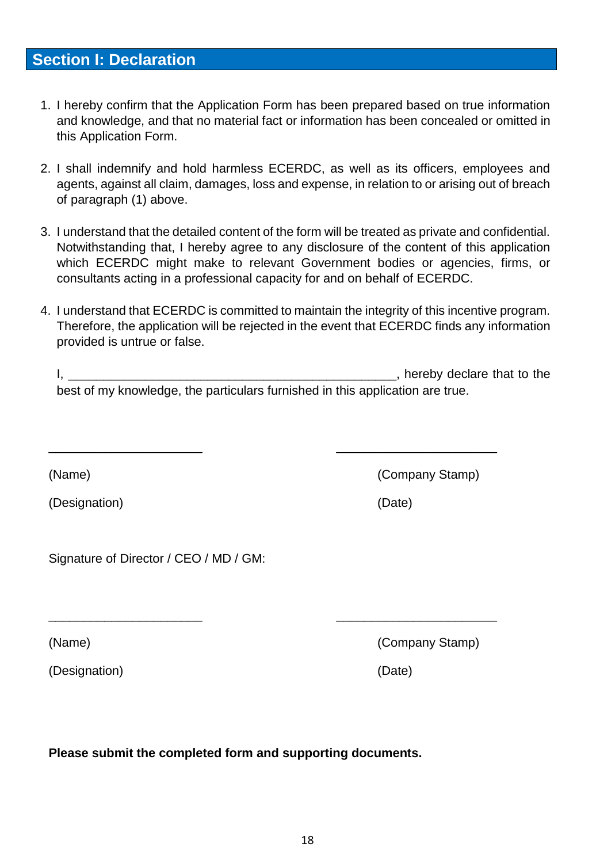# **Section I: Declaration**

- 1. I hereby confirm that the Application Form has been prepared based on true information and knowledge, and that no material fact or information has been concealed or omitted in this Application Form.
- 2. I shall indemnify and hold harmless ECERDC, as well as its officers, employees and agents, against all claim, damages, loss and expense, in relation to or arising out of breach of paragraph (1) above.
- 3. I understand that the detailed content of the form will be treated as private and confidential. Notwithstanding that, I hereby agree to any disclosure of the content of this application which ECERDC might make to relevant Government bodies or agencies, firms, or consultants acting in a professional capacity for and on behalf of ECERDC.
- 4. I understand that ECERDC is committed to maintain the integrity of this incentive program. Therefore, the application will be rejected in the event that ECERDC finds any information provided is untrue or false.

| hereby declare that to the                                                    |  |
|-------------------------------------------------------------------------------|--|
| best of my knowledge, the particulars furnished in this application are true. |  |

\_\_\_\_\_\_\_\_\_\_\_\_\_\_\_\_\_\_\_\_\_\_ \_\_\_\_\_\_\_\_\_\_\_\_\_\_\_\_\_\_\_\_\_\_\_

\_\_\_\_\_\_\_\_\_\_\_\_\_\_\_\_\_\_\_\_\_\_ \_\_\_\_\_\_\_\_\_\_\_\_\_\_\_\_\_\_\_\_\_\_\_

| (Designation) | (Date) |
|---------------|--------|
|               |        |

Signature of Director / CEO / MD / GM:

(Name) (Company Stamp)

(Designation) (Date)

**Please submit the completed form and supporting documents.**

(Name) (Company Stamp)